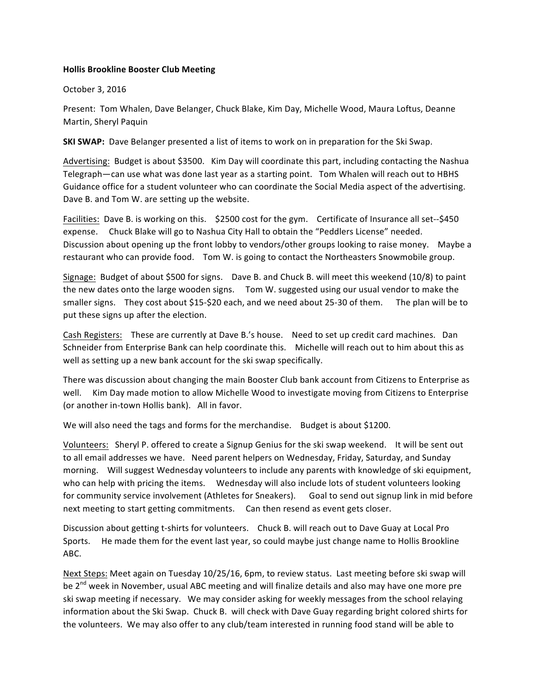## **Hollis Brookline Booster Club Meeting**

October 3, 2016

Present: Tom Whalen, Dave Belanger, Chuck Blake, Kim Day, Michelle Wood, Maura Loftus, Deanne Martin, Sheryl Paquin

**SKI SWAP:** Dave Belanger presented a list of items to work on in preparation for the Ski Swap.

Advertising: Budget is about \$3500. Kim Day will coordinate this part, including contacting the Nashua Telegraph—can use what was done last year as a starting point. Tom Whalen will reach out to HBHS Guidance office for a student volunteer who can coordinate the Social Media aspect of the advertising. Dave B. and Tom W. are setting up the website.

Facilities: Dave B. is working on this. \$2500 cost for the gym. Certificate of Insurance all set--\$450 expense. Chuck Blake will go to Nashua City Hall to obtain the "Peddlers License" needed. Discussion about opening up the front lobby to vendors/other groups looking to raise money. Maybe a restaurant who can provide food. Tom W. is going to contact the Northeasters Snowmobile group.

Signage: Budget of about \$500 for signs. Dave B. and Chuck B. will meet this weekend (10/8) to paint the new dates onto the large wooden signs. Tom W. suggested using our usual vendor to make the smaller signs. They cost about \$15-\$20 each, and we need about 25-30 of them. The plan will be to put these signs up after the election.

Cash Registers: These are currently at Dave B.'s house. Need to set up credit card machines. Dan Schneider from Enterprise Bank can help coordinate this. Michelle will reach out to him about this as well as setting up a new bank account for the ski swap specifically.

There was discussion about changing the main Booster Club bank account from Citizens to Enterprise as well. Kim Day made motion to allow Michelle Wood to investigate moving from Citizens to Enterprise (or another in-town Hollis bank). All in favor.

We will also need the tags and forms for the merchandise. Budget is about \$1200.

Volunteers: Sheryl P. offered to create a Signup Genius for the ski swap weekend. It will be sent out to all email addresses we have. Need parent helpers on Wednesday, Friday, Saturday, and Sunday morning. Will suggest Wednesday volunteers to include any parents with knowledge of ski equipment, who can help with pricing the items. Wednesday will also include lots of student volunteers looking for community service involvement (Athletes for Sneakers). Goal to send out signup link in mid before next meeting to start getting commitments. Can then resend as event gets closer.

Discussion about getting t-shirts for volunteers. Chuck B. will reach out to Dave Guay at Local Pro Sports. He made them for the event last year, so could maybe just change name to Hollis Brookline ABC.

Next Steps: Meet again on Tuesday 10/25/16, 6pm, to review status. Last meeting before ski swap will be 2<sup>nd</sup> week in November, usual ABC meeting and will finalize details and also may have one more pre ski swap meeting if necessary. We may consider asking for weekly messages from the school relaying information about the Ski Swap. Chuck B. will check with Dave Guay regarding bright colored shirts for the volunteers. We may also offer to any club/team interested in running food stand will be able to